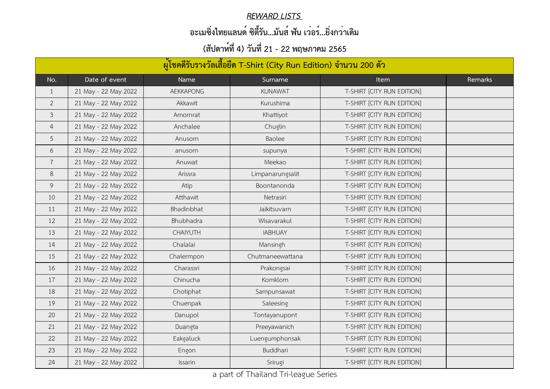| ้ผู้โชคดีรับรางวัลเสื้อยืด T-Shirt (City Run Edition) จำนวน 200 ตัว |                      |                  |                  |                            |         |
|---------------------------------------------------------------------|----------------------|------------------|------------------|----------------------------|---------|
| No.                                                                 | Date of event        | Name             | Surname          | <b>Item</b>                | Remarks |
| $\mathbf{1}$                                                        | 21 May - 22 May 2022 | <b>AEKKAPONG</b> | <b>KUNAWAT</b>   | T-SHIRT [CITY RUN EDITION] |         |
| $\overline{2}$                                                      | 21 May - 22 May 2022 | Akkawit          | Kurushima        | T-SHIRT [CITY RUN EDITION] |         |
| $\mathfrak{Z}$                                                      | 21 May - 22 May 2022 | Amornrat         | Khattiyot        | T-SHIRT [CITY RUN EDITION] |         |
| 4                                                                   | 21 May - 22 May 2022 | Anchalee         | Chuglin          | T-SHIRT [CITY RUN EDITION] |         |
| 5                                                                   | 21 May - 22 May 2022 | Anusorn          | Baolee           | T-SHIRT [CITY RUN EDITION] |         |
| 6                                                                   | 21 May - 22 May 2022 | anusorn          | supunya          | T-SHIRT [CITY RUN EDITION] |         |
| $\overline{7}$                                                      | 21 May - 22 May 2022 | Anuwat           | Meekao           | T-SHIRT [CITY RUN EDITION] |         |
| 8                                                                   | 21 May - 22 May 2022 | Arissra          | Limpanarungsalit | T-SHIRT [CITY RUN EDITION] |         |
| 9                                                                   | 21 May - 22 May 2022 | Atip             | Boontanonda      | T-SHIRT [CITY RUN EDITION] |         |
| 10                                                                  | 21 May - 22 May 2022 | Atthawit         | Netrasiri        | T-SHIRT [CITY RUN EDITION] |         |
| 11                                                                  | 21 May - 22 May 2022 | Bhadinbhat       | Jaikitsuvarn     | T-SHIRT [CITY RUN EDITION] |         |
| 12                                                                  | 21 May - 22 May 2022 | Bhubhadra        | Wisavarakul      | T-SHIRT [CITY RUN EDITION] |         |
| 13                                                                  | 21 May - 22 May 2022 | <b>CHAIYUTH</b>  | <b>IABHUAY</b>   | T-SHIRT [CITY RUN EDITION] |         |
| 14                                                                  | 21 May - 22 May 2022 | Chalalai         | Mansingh         | T-SHIRT [CITY RUN EDITION] |         |
| 15                                                                  | 21 May - 22 May 2022 | Chalermpon       | Chutmaneewattana | T-SHIRT [CITY RUN EDITION] |         |
| 16                                                                  | 21 May - 22 May 2022 | Charassri        | Prakongsai       | T-SHIRT [CITY RUN EDITION] |         |
| 17                                                                  | 21 May - 22 May 2022 | Chinucha         | Komklom          | T-SHIRT [CITY RUN EDITION] |         |
| 18                                                                  | 21 May - 22 May 2022 | Chotiphat        | Sampunsawat      | T-SHIRT [CITY RUN EDITION] |         |
| 19                                                                  | 21 May - 22 May 2022 | Chuenpak         | Saleesing        | T-SHIRT [CITY RUN EDITION] |         |
| 20                                                                  | 21 May - 22 May 2022 | Danupol          | Tontayanupont    | T-SHIRT [CITY RUN EDITION] |         |
| 21                                                                  | 21 May - 22 May 2022 | Duangta          | Preeyawanich     | T-SHIRT [CITY RUN EDITION] |         |
| 22                                                                  | 21 May - 22 May 2022 | Eakgaluck        | Luengumphonsak   | T-SHIRT [CITY RUN EDITION] |         |
| 23                                                                  | 21 May - 22 May 2022 | Engon            | Buddhari         | T-SHIRT [CITY RUN EDITION] |         |
| 24                                                                  | 21 May - 22 May 2022 | Issarin          | Srirugi          | T-SHIRT [CITY RUN EDITION] |         |

#### *REWARD LISTS*

# **อะเมซิ่งไทยแลนด์ ซิตี้รัน...มันส์ ฟัน เว่อร์...ยิ่งกว่าเดิม**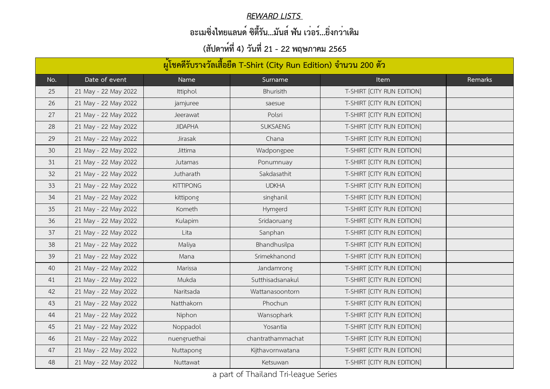#### *REWARD LISTS*

# **อะเมซิ่งไทยแลนด์ ซิตี้รัน...มันส์ ฟัน เว่อร์...ยิ่งกว่าเดิม**

| ้ผู้โชคดีรับรางวัลเสื้อยืด T-Shirt (City Run Edition) จำนวน 200 ตัว |                      |                  |                   |                            |         |
|---------------------------------------------------------------------|----------------------|------------------|-------------------|----------------------------|---------|
| No.                                                                 | Date of event        | Name             | Surname           | <b>Item</b>                | Remarks |
| 25                                                                  | 21 May - 22 May 2022 | Ittiphol         | Bhurisith         | T-SHIRT [CITY RUN EDITION] |         |
| 26                                                                  | 21 May - 22 May 2022 | jamjuree         | saesue            | T-SHIRT [CITY RUN EDITION] |         |
| 27                                                                  | 21 May - 22 May 2022 | Jeerawat         | Polsri            | T-SHIRT [CITY RUN EDITION] |         |
| 28                                                                  | 21 May - 22 May 2022 | <b>JIDAPHA</b>   | <b>SUKSAENG</b>   | T-SHIRT [CITY RUN EDITION] |         |
| 29                                                                  | 21 May - 22 May 2022 | Jirasak          | Chana             | T-SHIRT [CITY RUN EDITION] |         |
| 30                                                                  | 21 May - 22 May 2022 | Jittima          | Wadpongpee        | T-SHIRT [CITY RUN EDITION] |         |
| 31                                                                  | 21 May - 22 May 2022 | Jutamas          | Ponumnuay         | T-SHIRT [CITY RUN EDITION] |         |
| 32                                                                  | 21 May - 22 May 2022 | Jutharath        | Sakdasathit       | T-SHIRT [CITY RUN EDITION] |         |
| 33                                                                  | 21 May - 22 May 2022 | <b>KITTIPONG</b> | <b>UDKHA</b>      | T-SHIRT [CITY RUN EDITION] |         |
| 34                                                                  | 21 May - 22 May 2022 | kittipong        | singhanil         | T-SHIRT [CITY RUN EDITION] |         |
| 35                                                                  | 21 May - 22 May 2022 | Kometh           | Hymgerd           | T-SHIRT [CITY RUN EDITION] |         |
| 36                                                                  | 21 May - 22 May 2022 | Kulapim          | Sridaoruang       | T-SHIRT [CITY RUN EDITION] |         |
| 37                                                                  | 21 May - 22 May 2022 | Lita             | Sanphan           | T-SHIRT [CITY RUN EDITION] |         |
| 38                                                                  | 21 May - 22 May 2022 | Maliya           | Bhandhusilpa      | T-SHIRT [CITY RUN EDITION] |         |
| 39                                                                  | 21 May - 22 May 2022 | Mana             | Srimekhanond      | T-SHIRT [CITY RUN EDITION] |         |
| 40                                                                  | 21 May - 22 May 2022 | Marissa          | Jandamrong        | T-SHIRT [CITY RUN EDITION] |         |
| 41                                                                  | 21 May - 22 May 2022 | Mukda            | Sutthisadsanakul  | T-SHIRT [CITY RUN EDITION] |         |
| 42                                                                  | 21 May - 22 May 2022 | Naritsada        | Wattanasoontorn   | T-SHIRT [CITY RUN EDITION] |         |
| 43                                                                  | 21 May - 22 May 2022 | Natthakorn       | Phochun           | T-SHIRT [CITY RUN EDITION] |         |
| 44                                                                  | 21 May - 22 May 2022 | Niphon           | Wansophark        | T-SHIRT [CITY RUN EDITION] |         |
| 45                                                                  | 21 May - 22 May 2022 | Noppadol         | Yosantia          | T-SHIRT [CITY RUN EDITION] |         |
| 46                                                                  | 21 May - 22 May 2022 | nuengruethai     | chantrathammachat | T-SHIRT [CITY RUN EDITION] |         |
| 47                                                                  | 21 May - 22 May 2022 | Nuttapong        | Kijthavornwatana  | T-SHIRT [CITY RUN EDITION] |         |
| 48                                                                  | 21 May - 22 May 2022 | Nuttawat         | Ketsuwan          | T-SHIRT [CITY RUN EDITION] |         |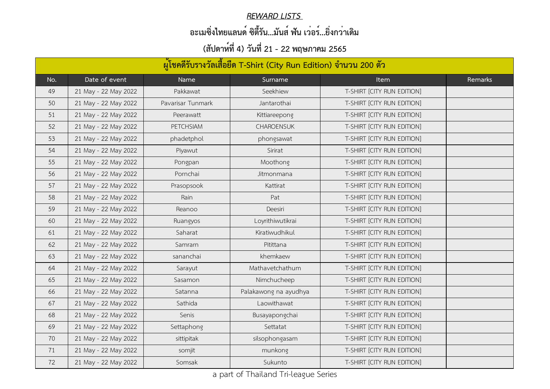#### *REWARD LISTS*

# **อะเมซิ่งไทยแลนด์ ซิตี้รัน...มันส์ ฟัน เว่อร์...ยิ่งกว่าเดิม**

| ้ผู้โชคดีรับรางวัลเสื้อยืด T-Shirt (City Run Edition) จำนวน 200 ตัว |                      |                   |                       |                            |         |
|---------------------------------------------------------------------|----------------------|-------------------|-----------------------|----------------------------|---------|
| No.                                                                 | Date of event        | Name              | Surname               | Item                       | Remarks |
| 49                                                                  | 21 May - 22 May 2022 | Pakkawat          | Seekhiew              | T-SHIRT [CITY RUN EDITION] |         |
| 50                                                                  | 21 May - 22 May 2022 | Pavarisar Tunmark | Jantarothai           | T-SHIRT [CITY RUN EDITION] |         |
| 51                                                                  | 21 May - 22 May 2022 | Peerawatt         | Kittiareepong         | T-SHIRT [CITY RUN EDITION] |         |
| 52                                                                  | 21 May - 22 May 2022 | <b>PETCHSIAM</b>  | <b>CHAROENSUK</b>     | T-SHIRT [CITY RUN EDITION] |         |
| 53                                                                  | 21 May - 22 May 2022 | phadetphol        | phongsawat            | T-SHIRT [CITY RUN EDITION] |         |
| 54                                                                  | 21 May - 22 May 2022 | Piyawut           | Sirirat               | T-SHIRT [CITY RUN EDITION] |         |
| 55                                                                  | 21 May - 22 May 2022 | Pongpan           | Moothong              | T-SHIRT [CITY RUN EDITION] |         |
| 56                                                                  | 21 May - 22 May 2022 | Pornchai          | Jitmonmana            | T-SHIRT [CITY RUN EDITION] |         |
| 57                                                                  | 21 May - 22 May 2022 | Prasopsook        | Kattirat              | T-SHIRT [CITY RUN EDITION] |         |
| 58                                                                  | 21 May - 22 May 2022 | Rain              | Pat                   | T-SHIRT [CITY RUN EDITION] |         |
| 59                                                                  | 21 May - 22 May 2022 | Reanoo            | Deesiri               | T-SHIRT [CITY RUN EDITION] |         |
| 60                                                                  | 21 May - 22 May 2022 | Ruangyos          | Loyrithiwutikrai      | T-SHIRT [CITY RUN EDITION] |         |
| 61                                                                  | 21 May - 22 May 2022 | Saharat           | Kiratiwudhikul        | T-SHIRT [CITY RUN EDITION] |         |
| 62                                                                  | 21 May - 22 May 2022 | Samrarn           | Pitittana             | T-SHIRT [CITY RUN EDITION] |         |
| 63                                                                  | 21 May - 22 May 2022 | sananchai         | khemkaew              | T-SHIRT [CITY RUN EDITION] |         |
| 64                                                                  | 21 May - 22 May 2022 | Sarayut           | Mathavetchathum       | T-SHIRT [CITY RUN EDITION] |         |
| 65                                                                  | 21 May - 22 May 2022 | Sasamon           | Nimchucheep           | T-SHIRT [CITY RUN EDITION] |         |
| 66                                                                  | 21 May - 22 May 2022 | Satanna           | Palakawong na ayudhya | T-SHIRT [CITY RUN EDITION] |         |
| 67                                                                  | 21 May - 22 May 2022 | Sathida           | Laowithawat           | T-SHIRT [CITY RUN EDITION] |         |
| 68                                                                  | 21 May - 22 May 2022 | Senis             | Busayapongchai        | T-SHIRT [CITY RUN EDITION] |         |
| 69                                                                  | 21 May - 22 May 2022 | Settaphong        | Settatat              | T-SHIRT [CITY RUN EDITION] |         |
| 70                                                                  | 21 May - 22 May 2022 | sittipitak        | silsophongasam        | T-SHIRT [CITY RUN EDITION] |         |
| 71                                                                  | 21 May - 22 May 2022 | somjit            | munkong               | T-SHIRT [CITY RUN EDITION] |         |
| 72                                                                  | 21 May - 22 May 2022 | Somsak            | Sukunto               | T-SHIRT [CITY RUN EDITION] |         |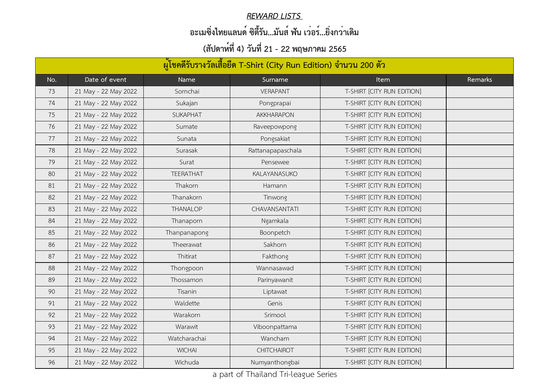#### *REWARD LISTS*

# **อะเมซิ่งไทยแลนด์ ซิตี้รัน...มันส์ ฟัน เว่อร์...ยิ่งกว่าเดิม**

| ้ผู้โชคดีรับรางวัลเสื้อยืด T-Shirt (City Run Edition) จำนวน 200 ตัว |                      |                  |                    |                            |         |
|---------------------------------------------------------------------|----------------------|------------------|--------------------|----------------------------|---------|
| No.                                                                 | Date of event        | Name             | Surname            | <b>Item</b>                | Remarks |
| 73                                                                  | 21 May - 22 May 2022 | Sornchai         | <b>VERAPANT</b>    | T-SHIRT [CITY RUN EDITION] |         |
| 74                                                                  | 21 May - 22 May 2022 | Sukajan          | Pongprapai         | T-SHIRT [CITY RUN EDITION] |         |
| 75                                                                  | 21 May - 22 May 2022 | <b>SUKAPHAT</b>  | <b>AKKHARAPON</b>  | T-SHIRT [CITY RUN EDITION] |         |
| 76                                                                  | 21 May - 22 May 2022 | Sumate           | Raveepowpong       | T-SHIRT [CITY RUN EDITION] |         |
| 77                                                                  | 21 May - 22 May 2022 | Sunata           | Pongsakiat         | T-SHIRT [CITY RUN EDITION] |         |
| 78                                                                  | 21 May - 22 May 2022 | Surasak          | Rattanapapaschala  | T-SHIRT [CITY RUN EDITION] |         |
| 79                                                                  | 21 May - 22 May 2022 | Surat            | Pensewee           | T-SHIRT [CITY RUN EDITION] |         |
| 80                                                                  | 21 May - 22 May 2022 | <b>TEERATHAT</b> | KALAYANASUKO       | T-SHIRT [CITY RUN EDITION] |         |
| 81                                                                  | 21 May - 22 May 2022 | Thakorn          | Hamann             | T-SHIRT [CITY RUN EDITION] |         |
| 82                                                                  | 21 May - 22 May 2022 | Thanakorn        | Tinwong            | T-SHIRT [CITY RUN EDITION] |         |
| 83                                                                  | 21 May - 22 May 2022 | <b>THANALOP</b>  | CHAVANSANTATI      | T-SHIRT [CITY RUN EDITION] |         |
| 84                                                                  | 21 May - 22 May 2022 | Thanaporn        | Ngamkala           | T-SHIRT [CITY RUN EDITION] |         |
| 85                                                                  | 21 May - 22 May 2022 | Thanpanapong     | Boonpetch          | T-SHIRT [CITY RUN EDITION] |         |
| 86                                                                  | 21 May - 22 May 2022 | Theerawat        | Sakhorn            | T-SHIRT [CITY RUN EDITION] |         |
| 87                                                                  | 21 May - 22 May 2022 | Thitirat         | Fakthong           | T-SHIRT [CITY RUN EDITION] |         |
| 88                                                                  | 21 May - 22 May 2022 | Thongpoon        | Wannasawad         | T-SHIRT [CITY RUN EDITION] |         |
| 89                                                                  | 21 May - 22 May 2022 | Thossamon        | Parinyawanit       | T-SHIRT [CITY RUN EDITION] |         |
| 90                                                                  | 21 May - 22 May 2022 | Tisanin          | Liptawat           | T-SHIRT [CITY RUN EDITION] |         |
| 91                                                                  | 21 May - 22 May 2022 | Waldette         | Genis              | T-SHIRT [CITY RUN EDITION] |         |
| 92                                                                  | 21 May - 22 May 2022 | Warakorn         | Srimool            | T-SHIRT [CITY RUN EDITION] |         |
| 93                                                                  | 21 May - 22 May 2022 | Warawit          | Viboonpattama      | T-SHIRT [CITY RUN EDITION] |         |
| 94                                                                  | 21 May - 22 May 2022 | Watcharachai     | Wancham            | T-SHIRT [CITY RUN EDITION] |         |
| 95                                                                  | 21 May - 22 May 2022 | <b>WICHAI</b>    | <b>CHITCHAIROT</b> | T-SHIRT [CITY RUN EDITION] |         |
| 96                                                                  | 21 May - 22 May 2022 | Wichuda          | Numyanthongbai     | T-SHIRT [CITY RUN EDITION] |         |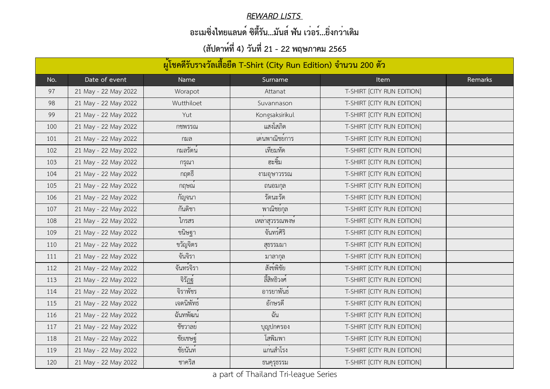#### *REWARD LISTS*

# **อะเมซิ่งไทยแลนด์ ซิตี้รัน...มันส์ ฟัน เว่อร์...ยิ่งกว่าเดิม**

|     | ้ผู้โชคดีรับรางวัลเสื้อยืด T-Shirt (City Run Edition) จำนวน 200 ตัว |                       |                |                            |         |  |
|-----|---------------------------------------------------------------------|-----------------------|----------------|----------------------------|---------|--|
| No. | Date of event                                                       | Name                  | Surname        | <b>Item</b>                | Remarks |  |
| 97  | 21 May - 22 May 2022                                                | Worapot               | Attanat        | T-SHIRT [CITY RUN EDITION] |         |  |
| 98  | 21 May - 22 May 2022                                                | Wutthiloet            | Suvannason     | T-SHIRT [CITY RUN EDITION] |         |  |
| 99  | 21 May - 22 May 2022                                                | Yut                   | Kongsaksirikul | T-SHIRT [CITY RUN EDITION] |         |  |
| 100 | 21 May - 22 May 2022                                                | กชพรรณ                | แสงโสภิต       | T-SHIRT [CITY RUN EDITION] |         |  |
| 101 | 21 May - 22 May 2022                                                | กมล                   | เดนพาณิชยการ   | T-SHIRT [CITY RUN EDITION] |         |  |
| 102 | 21 May - 22 May 2022                                                | ้กมลรัตน <sup>์</sup> | เทียมทัด       | T-SHIRT [CITY RUN EDITION] |         |  |
| 103 | 21 May - 22 May 2022                                                | กรุณา                 | ฮะซิม          | T-SHIRT [CITY RUN EDITION] |         |  |
| 104 | 21 May - 22 May 2022                                                | กฤตธิ์                | งามอุษาวรรณ    | T-SHIRT [CITY RUN EDITION] |         |  |
| 105 | 21 May - 22 May 2022                                                | กฤษณ                  | ถนอมกุล        | T-SHIRT [CITY RUN EDITION] |         |  |
| 106 | 21 May - 22 May 2022                                                | กัญจนา                | รัตนะรัต       | T-SHIRT [CITY RUN EDITION] |         |  |
| 107 | 21 May - 22 May 2022                                                | กันติชา               | พาณิชย์กุล     | T-SHIRT [CITY RUN EDITION] |         |  |
| 108 | 21 May - 22 May 2022                                                | ไกรสร                 | เหลาสุวรรณพงษ  | T-SHIRT [CITY RUN EDITION] |         |  |
| 109 | 21 May - 22 May 2022                                                | ขนิษฐา                | จันทร์ศิริ     | T-SHIRT [CITY RUN EDITION] |         |  |
| 110 | 21 May - 22 May 2022                                                | ขวัญจิตร              | สุธรรมมา       | T-SHIRT [CITY RUN EDITION] |         |  |
| 111 | 21 May - 22 May 2022                                                | จันจิรา               | มาลากุล        | T-SHIRT [CITY RUN EDITION] |         |  |
| 112 | 21 May - 22 May 2022                                                | จันทร์จิรา            | สังข์พิชัย     | T-SHIRT [CITY RUN EDITION] |         |  |
| 113 | 21 May - 22 May 2022                                                | จิรัฏฐ์               | ลี้สิทธิวงศ์   | T-SHIRT [CITY RUN EDITION] |         |  |
| 114 | 21 May - 22 May 2022                                                | จิราพัชร              | อารยาพันธ์     | T-SHIRT [CITY RUN EDITION] |         |  |
| 115 | 21 May - 22 May 2022                                                | ้เจตนิพัทธ์           | อักษรดี        | T-SHIRT [CITY RUN EDITION] |         |  |
| 116 | 21 May - 22 May 2022                                                | ฉันทพัฒน <sup>์</sup> | ฉัน            | T-SHIRT [CITY RUN EDITION] |         |  |
| 117 | 21 May - 22 May 2022                                                | ช้ชวาลย์              | บุญปกครอง      | T-SHIRT [CITY RUN EDITION] |         |  |
| 118 | 21 May - 22 May 2022                                                | ชัยเชษฐ์              | โสพิมพา        | T-SHIRT [CITY RUN EDITION] |         |  |
| 119 | 21 May - 22 May 2022                                                | ชัยนันท์              | แกนสำโรง       | T-SHIRT [CITY RUN EDITION] |         |  |
| 120 | 21 May - 22 May 2022                                                | ชาคริส                | ธนคุรุธรรม     | T-SHIRT [CITY RUN EDITION] |         |  |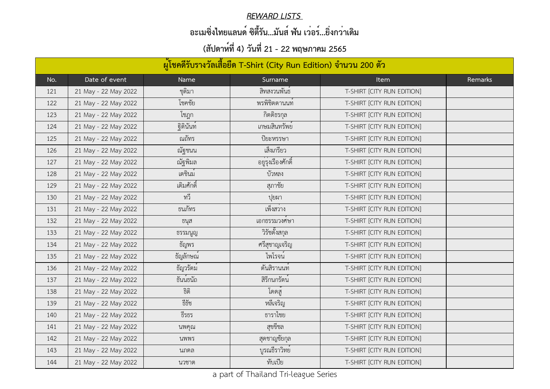#### *REWARD LISTS*

# **อะเมซิ่งไทยแลนด์ ซิตี้รัน...มันส์ ฟัน เว่อร์...ยิ่งกว่าเดิม**

| ้ผู้โชคดีรับรางวัลเสื้อยืด T-Shirt (City Run Edition) จำนวน 200 ตัว |                      |                        |                           |                            |         |
|---------------------------------------------------------------------|----------------------|------------------------|---------------------------|----------------------------|---------|
| No.                                                                 | Date of event        | Name                   | Surname                   | <b>Item</b>                | Remarks |
| 121                                                                 | 21 May - 22 May 2022 | ชุติมา                 | สิทสงวนพันธ์              | T-SHIRT [CITY RUN EDITION] |         |
| 122                                                                 | 21 May - 22 May 2022 | โชคชัย                 | พรพิชิตตานนท              | T-SHIRT [CITY RUN EDITION] |         |
| 123                                                                 | 21 May - 22 May 2022 | โชฎก                   | กิตติธรกุล                | T-SHIRT [CITY RUN EDITION] |         |
| 124                                                                 | 21 May - 22 May 2022 | ฐิตินันท์              | เกษมสินทรัพย <sup>์</sup> | T-SHIRT [CITY RUN EDITION] |         |
| 125                                                                 | 21 May - 22 May 2022 | ณถัทร                  | ปิยะหรรษา                 | T-SHIRT [CITY RUN EDITION] |         |
| 126                                                                 | 21 May - 22 May 2022 | ณัฐชนน                 | เส็งเกรียว                | T-SHIRT [CITY RUN EDITION] |         |
| 127                                                                 | 21 May - 22 May 2022 | ณัฐพิมล                | ้อยู่รุ่งเรื่องศักดิ์     | T-SHIRT [CITY RUN EDITION] |         |
| 128                                                                 | 21 May - 22 May 2022 | เตชินม <sup>์</sup>    | บัวหลง                    | T-SHIRT [CITY RUN EDITION] |         |
| 129                                                                 | 21 May - 22 May 2022 | เติมศักดิ์             | สุภาชัย                   | T-SHIRT [CITY RUN EDITION] |         |
| 130                                                                 | 21 May - 22 May 2022 | ทวี                    | ปูยผา                     | T-SHIRT [CITY RUN EDITION] |         |
| 131                                                                 | 21 May - 22 May 2022 | ธนภัทร                 | เพ็งสวาง                  | T-SHIRT [CITY RUN EDITION] |         |
| 132                                                                 | 21 May - 22 May 2022 | ธนุส                   | เอกธรรมวงศษา              | T-SHIRT [CITY RUN EDITION] |         |
| 133                                                                 | 21 May - 22 May 2022 | ธรรมนูญ                | วิรัชตั้งสกุล             | T-SHIRT [CITY RUN EDITION] |         |
| 134                                                                 | 21 May - 22 May 2022 | ธัญพร                  | ศรีสุชาญเจริญ             | T-SHIRT [CITY RUN EDITION] |         |
| 135                                                                 | 21 May - 22 May 2022 | ธัญลักษณ <sup>์</sup>  | ไพโรจน <sup>์</sup>       | T-SHIRT [CITY RUN EDITION] |         |
| 136                                                                 | 21 May - 22 May 2022 | ້ ບ<br>ธัญวรัตม        | ตันสิรานนท์               | T-SHIRT [CITY RUN EDITION] |         |
| 137                                                                 | 21 May - 22 May 2022 | ธันน <sup>์</sup> ธนัถ | สิริกนกรัตน์              | T-SHIRT [CITY RUN EDITION] |         |
| 138                                                                 | 21 May - 22 May 2022 | ธิติ                   | โดดส                      | T-SHIRT [CITY RUN EDITION] |         |
| 139                                                                 | 21 May - 22 May 2022 | ธีธัช                  | หลีเจริญ                  | T-SHIRT [CITY RUN EDITION] |         |
| 140                                                                 | 21 May - 22 May 2022 | ธีรธร                  | ธาราไชย                   | T-SHIRT [CITY RUN EDITION] |         |
| 141                                                                 | 21 May - 22 May 2022 | นพคุณ                  | สุขขีชล                   | T-SHIRT [CITY RUN EDITION] |         |
| 142                                                                 | 21 May - 22 May 2022 | นพพร                   | สุดชาญชัยกุล              | T-SHIRT [CITY RUN EDITION] |         |
| 143                                                                 | 21 May - 22 May 2022 | นภดล                   | บูรณธีราวิทย <sup>์</sup> | T-SHIRT [CITY RUN EDITION] |         |
| 144                                                                 | 21 May - 22 May 2022 | นวชาต                  | ทับเปีย                   | T-SHIRT [CITY RUN EDITION] |         |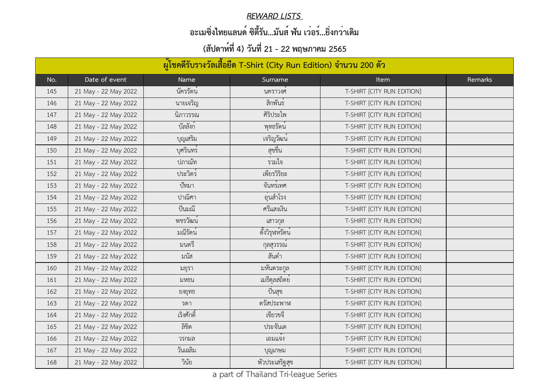#### *REWARD LISTS*

# **อะเมซิ่งไทยแลนด์ ซิตี้รัน...มันส์ ฟัน เว่อร์...ยิ่งกว่าเดิม**

| ้ผู้โชคดีรับรางวัลเสื้อยืด T-Shirt (City Run Edition) จำนวน 200 ตัว |                      |                       |                           |                            |         |
|---------------------------------------------------------------------|----------------------|-----------------------|---------------------------|----------------------------|---------|
| No.                                                                 | Date of event        | Name                  | Surname                   | <b>Item</b>                | Remarks |
| 145                                                                 | 21 May - 22 May 2022 | นัครรัตน์             | นคราวงศ                   | T-SHIRT [CITY RUN EDITION] |         |
| 146                                                                 | 21 May - 22 May 2022 | นายเจริญ              | สิกพันธ์                  | T-SHIRT [CITY RUN EDITION] |         |
| 147                                                                 | 21 May - 22 May 2022 | นิภาวรรณ              | ศิริประไพ                 | T-SHIRT [CITY RUN EDITION] |         |
| 148                                                                 | 21 May - 22 May 2022 | บัลลังก์              | พุทธรัตน์                 | T-SHIRT [CITY RUN EDITION] |         |
| 149                                                                 | 21 May - 22 May 2022 | บุญเสริม              | เจริญวัฒน <sup>์</sup>    | T-SHIRT [CITY RUN EDITION] |         |
| 150                                                                 | 21 May - 22 May 2022 | บุศรินทร์             | สุขขิน                    | T-SHIRT [CITY RUN EDITION] |         |
| 151                                                                 | 21 May - 22 May 2022 | ปภาณัท                | รวมใจ                     | T-SHIRT [CITY RUN EDITION] |         |
| 152                                                                 | 21 May - 22 May 2022 | ประวิตร์              | เพียรวิริยะ               | T-SHIRT [CITY RUN EDITION] |         |
| 153                                                                 | 21 May - 22 May 2022 | ปัทมา                 | จันทร์เทศ                 | T-SHIRT [CITY RUN EDITION] |         |
| 154                                                                 | 21 May - 22 May 2022 | ปาณิศา                | อุนสำโรง                  | T-SHIRT [CITY RUN EDITION] |         |
| 155                                                                 | 21 May - 22 May 2022 | ป็นมณี                | ศรีแสงเงิน                | T-SHIRT [CITY RUN EDITION] |         |
| 156                                                                 | 21 May - 22 May 2022 | พชรวัฒน <sup>์</sup>  | เสาวกุล                   | T-SHIRT [CITY RUN EDITION] |         |
| 157                                                                 | 21 May - 22 May 2022 | ้มณีรัตน <sup>์</sup> | ตั้งวิรุหห์รัตน์          | T-SHIRT [CITY RUN EDITION] |         |
| 158                                                                 | 21 May - 22 May 2022 | มนตรี                 | กุลสุวรรณ                 | T-SHIRT [CITY RUN EDITION] |         |
| 159                                                                 | 21 May - 22 May 2022 | มนัส                  | สันดำ                     | T-SHIRT [CITY RUN EDITION] |         |
| 160                                                                 | 21 May - 22 May 2022 | มยุรา                 | มหันตระกูล                | T-SHIRT [CITY RUN EDITION] |         |
| 161                                                                 | 21 May - 22 May 2022 | มหธน                  | เมธีดุลสถิตย <sup>์</sup> | T-SHIRT [CITY RUN EDITION] |         |
| 162                                                                 | 21 May - 22 May 2022 | ยงยุทธ                | ปินสุข                    | T-SHIRT [CITY RUN EDITION] |         |
| 163                                                                 | 21 May - 22 May 2022 | รดา                   | ตรัสประพาฬ                | T-SHIRT [CITY RUN EDITION] |         |
| 164                                                                 | 21 May - 22 May 2022 | เริงศักดิ์            | เขียวขจี                  | T-SHIRT [CITY RUN EDITION] |         |
| 165                                                                 | 21 May - 22 May 2022 | ลิขิต                 | ประจันเต                  | T-SHIRT [CITY RUN EDITION] |         |
| 166                                                                 | 21 May - 22 May 2022 | วรกมล                 | เอมแจง                    | T-SHIRT [CITY RUN EDITION] |         |
| 167                                                                 | 21 May - 22 May 2022 | วันเฉลิม              | บุญเกษม                   | T-SHIRT [CITY RUN EDITION] |         |
| 168                                                                 | 21 May - 22 May 2022 | วินัย                 | พัวประเสริฐสุข            | T-SHIRT [CITY RUN EDITION] |         |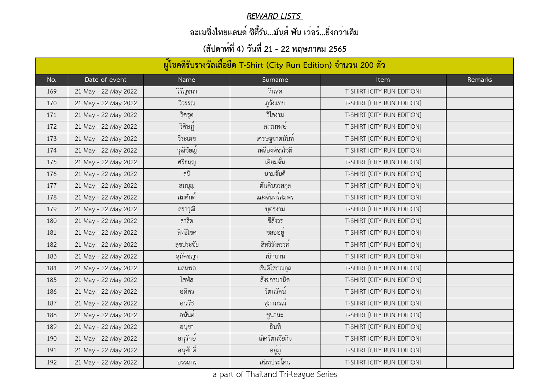#### *REWARD LISTS*

# **อะเมซิ่งไทยแลนด์ ซิตี้รัน...มันส์ ฟัน เว่อร์...ยิ่งกว่าเดิม**

| ้ผู้โชคดีรับรางวัลเสื้อยืด T-Shirt (City Run Edition) จำนวน 200 ตัว |                      |           |                            |                            |         |
|---------------------------------------------------------------------|----------------------|-----------|----------------------------|----------------------------|---------|
| No.                                                                 | Date of event        | Name      | Surname                    | <b>Item</b>                | Remarks |
| 169                                                                 | 21 May - 22 May 2022 | วิรัญชนา  | หินสด                      | T-SHIRT [CITY RUN EDITION] |         |
| 170                                                                 | 21 May - 22 May 2022 | วิวรรณ    | ฏวังแทบ                    | T-SHIRT [CITY RUN EDITION] |         |
| 171                                                                 | 21 May - 22 May 2022 | วิศรุต    | วิไลงาม                    | T-SHIRT [CITY RUN EDITION] |         |
| 172                                                                 | 21 May - 22 May 2022 | วิศิษฏ์   | สงวนหงษ                    | T-SHIRT [CITY RUN EDITION] |         |
| 173                                                                 | 21 May - 22 May 2022 | วีระเดช   | เศรษฐชาตนันท               | T-SHIRT [CITY RUN EDITION] |         |
| 174                                                                 | 21 May - 22 May 2022 | วุฒิชัยญ์ | เหลืองพัชรโชติ             | T-SHIRT [CITY RUN EDITION] |         |
| 175                                                                 | 21 May - 22 May 2022 | ศรีธนญ    | เอียมจัน                   | T-SHIRT [CITY RUN EDITION] |         |
| 176                                                                 | 21 May - 22 May 2022 | ิสนิ      | นามจันดี                   | T-SHIRT [CITY RUN EDITION] |         |
| 177                                                                 | 21 May - 22 May 2022 | สมบุญ     | ตันติบวรสกุล               | T-SHIRT [CITY RUN EDITION] |         |
| 178                                                                 | 21 May - 22 May 2022 | สมศักดิ์  | แสงจันทร <sup>ั</sup> สมพร | T-SHIRT [CITY RUN EDITION] |         |
| 179                                                                 | 21 May - 22 May 2022 | สราวุฒิ   | บตรงาม                     | T-SHIRT [CITY RUN EDITION] |         |
| 180                                                                 | 21 May - 22 May 2022 | สาธิต     | ชีสังวร                    | T-SHIRT [CITY RUN EDITION] |         |
| 181                                                                 | 21 May - 22 May 2022 | สิทธิโชค  | ชลออยู                     | T-SHIRT [CITY RUN EDITION] |         |
| 182                                                                 | 21 May - 22 May 2022 | สุขประชัย | สิทธิรังสรรค์              | T-SHIRT [CITY RUN EDITION] |         |
| 183                                                                 | 21 May - 22 May 2022 | สุภัคชญา  | ้เบิกบาน                   | T-SHIRT [CITY RUN EDITION] |         |
| 184                                                                 | 21 May - 22 May 2022 | แสนพล     | ์สันติโสภณกุล              | T-SHIRT [CITY RUN EDITION] |         |
| 185                                                                 | 21 May - 22 May 2022 | โสพัส     | สังขกรมานิต                | T-SHIRT [CITY RUN EDITION] |         |
| 186                                                                 | 21 May - 22 May 2022 | อดิศร     | รัตนรัตน์                  | T-SHIRT [CITY RUN EDITION] |         |
| 187                                                                 | 21 May - 22 May 2022 | อนวัช     | สุภาภรณ                    | T-SHIRT [CITY RUN EDITION] |         |
| 188                                                                 | 21 May - 22 May 2022 | ้อนันต์   | ชูนามะ                     | T-SHIRT [CITY RUN EDITION] |         |
| 189                                                                 | 21 May - 22 May 2022 | อนุชา     | อินทิ                      | T-SHIRT [CITY RUN EDITION] |         |
| 190                                                                 | 21 May - 22 May 2022 | ้อนุรักษ์ | เลิศรัตนชัยกิจ             | T-SHIRT [CITY RUN EDITION] |         |
| 191                                                                 | 21 May - 22 May 2022 | อนุศักดิ์ | อยูฏ                       | T-SHIRT [CITY RUN EDITION] |         |
| 192                                                                 | 21 May - 22 May 2022 | อรรถกร    | สนิทประโคน                 | T-SHIRT [CITY RUN EDITION] |         |